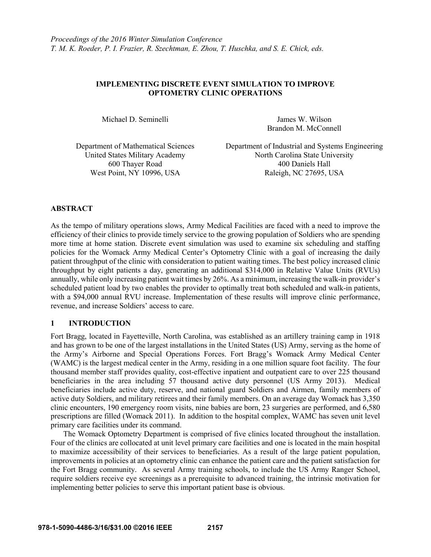# **IMPLEMENTING DISCRETE EVENT SIMULATION TO IMPROVE OPTOMETRY CLINIC OPERATIONS**

Michael D. Seminelli James W. Wilson

Brandon M. McConnell

United States Military Academy 600 Thayer Road

Department of Mathematical Sciences Department of Industrial and Systems Engineering North Carolina State University 400 Daniels Hall West Point, NY 10996, USA Raleigh, NC 27695, USA

# **ABSTRACT**

As the tempo of military operations slows, Army Medical Facilities are faced with a need to improve the efficiency of their clinics to provide timely service to the growing population of Soldiers who are spending more time at home station. Discrete event simulation was used to examine six scheduling and staffing policies for the Womack Army Medical Center's Optometry Clinic with a goal of increasing the daily patient throughput of the clinic with consideration to patient waiting times. The best policy increased clinic throughput by eight patients a day, generating an additional \$314,000 in Relative Value Units (RVUs) annually, while only increasing patient wait times by 26%. As a minimum, increasing the walk-in provider's scheduled patient load by two enables the provider to optimally treat both scheduled and walk-in patients, with a \$94,000 annual RVU increase. Implementation of these results will improve clinic performance, revenue, and increase Soldiers' access to care.

# **1 INTRODUCTION**

Fort Bragg, located in Fayetteville, North Carolina, was established as an artillery training camp in 1918 and has grown to be one of the largest installations in the United States (US) Army, serving as the home of the Army's Airborne and Special Operations Forces. Fort Bragg's Womack Army Medical Center (WAMC) is the largest medical center in the Army, residing in a one million square foot facility. The four thousand member staff provides quality, cost-effective inpatient and outpatient care to over 225 thousand beneficiaries in the area including 57 thousand active duty personnel (US Army 2013). Medical beneficiaries include active duty, reserve, and national guard Soldiers and Airmen, family members of active duty Soldiers, and military retirees and their family members. On an average day Womack has 3,350 clinic encounters, 190 emergency room visits, nine babies are born, 23 surgeries are performed, and 6,580 prescriptions are filled (Womack 2011). In addition to the hospital complex, WAMC has seven unit level primary care facilities under its command.

The Womack Optometry Department is comprised of five clinics located throughout the installation. Four of the clinics are collocated at unit level primary care facilities and one is located in the main hospital to maximize accessibility of their services to beneficiaries. As a result of the large patient population, improvements in policies at an optometry clinic can enhance the patient care and the patient satisfaction for the Fort Bragg community. As several Army training schools, to include the US Army Ranger School, require soldiers receive eye screenings as a prerequisite to advanced training, the intrinsic motivation for implementing better policies to serve this important patient base is obvious.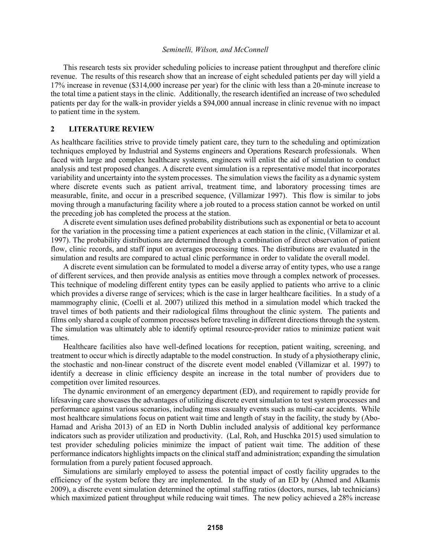This research tests six provider scheduling policies to increase patient throughput and therefore clinic revenue. The results of this research show that an increase of eight scheduled patients per day will yield a 17% increase in revenue (\$314,000 increase per year) for the clinic with less than a 20-minute increase to the total time a patient stays in the clinic. Additionally, the research identified an increase of two scheduled patients per day for the walk-in provider yields a \$94,000 annual increase in clinic revenue with no impact to patient time in the system.

## **2 LITERATURE REVIEW**

As healthcare facilities strive to provide timely patient care, they turn to the scheduling and optimization techniques employed by Industrial and Systems engineers and Operations Research professionals. When faced with large and complex healthcare systems, engineers will enlist the aid of simulation to conduct analysis and test proposed changes. A discrete event simulation is a representative model that incorporates variability and uncertainty into the system processes. The simulation views the facility as a dynamic system where discrete events such as patient arrival, treatment time, and laboratory processing times are measurable, finite, and occur in a prescribed sequence, (Villamizar 1997). This flow is similar to jobs moving through a manufacturing facility where a job routed to a process station cannot be worked on until the preceding job has completed the process at the station.

A discrete event simulation uses defined probability distributions such as exponential or beta to account for the variation in the processing time a patient experiences at each station in the clinic, (Villamizar et al. 1997). The probability distributions are determined through a combination of direct observation of patient flow, clinic records, and staff input on averages processing times. The distributions are evaluated in the simulation and results are compared to actual clinic performance in order to validate the overall model.

A discrete event simulation can be formulated to model a diverse array of entity types, who use a range of different services, and then provide analysis as entities move through a complex network of processes. This technique of modeling different entity types can be easily applied to patients who arrive to a clinic which provides a diverse range of services; which is the case in larger healthcare facilities. In a study of a mammography clinic, (Coelli et al. 2007) utilized this method in a simulation model which tracked the travel times of both patients and their radiological films throughout the clinic system. The patients and films only shared a couple of common processes before traveling in different directions through the system. The simulation was ultimately able to identify optimal resource-provider ratios to minimize patient wait times.

Healthcare facilities also have well-defined locations for reception, patient waiting, screening, and treatment to occur which is directly adaptable to the model construction. In study of a physiotherapy clinic, the stochastic and non-linear construct of the discrete event model enabled (Villamizar et al. 1997) to identify a decrease in clinic efficiency despite an increase in the total number of providers due to competition over limited resources.

The dynamic environment of an emergency department (ED), and requirement to rapidly provide for lifesaving care showcases the advantages of utilizing discrete event simulation to test system processes and performance against various scenarios, including mass casualty events such as multi-car accidents. While most healthcare simulations focus on patient wait time and length of stay in the facility, the study by (Abo-Hamad and Arisha 2013) of an ED in North Dublin included analysis of additional key performance indicators such as provider utilization and productivity. (Lal, Roh, and Huschka 2015) used simulation to test provider scheduling policies minimize the impact of patient wait time. The addition of these performance indicators highlights impacts on the clinical staff and administration; expanding the simulation formulation from a purely patient focused approach.

Simulations are similarly employed to assess the potential impact of costly facility upgrades to the efficiency of the system before they are implemented. In the study of an ED by (Ahmed and Alkamis 2009), a discrete event simulation determined the optimal staffing ratios (doctors, nurses, lab technicians) which maximized patient throughput while reducing wait times. The new policy achieved a 28% increase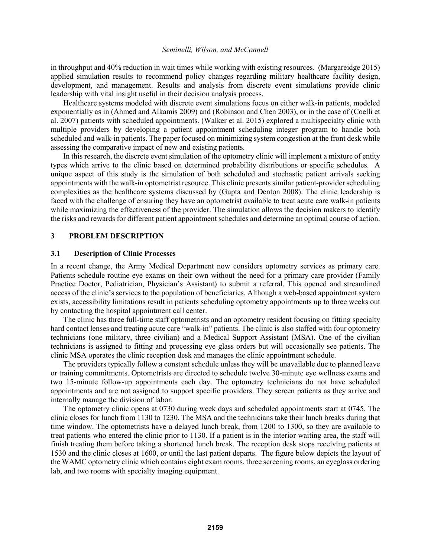in throughput and 40% reduction in wait times while working with existing resources. (Margareidge 2015) applied simulation results to recommend policy changes regarding military healthcare facility design, development, and management. Results and analysis from discrete event simulations provide clinic leadership with vital insight useful in their decision analysis process.

Healthcare systems modeled with discrete event simulations focus on either walk-in patients, modeled exponentially as in (Ahmed and Alkamis 2009) and (Robinson and Chen 2003), or in the case of (Coelli et al. 2007) patients with scheduled appointments. (Walker et al. 2015) explored a multispecialty clinic with multiple providers by developing a patient appointment scheduling integer program to handle both scheduled and walk-in patients. The paper focused on minimizing system congestion at the front desk while assessing the comparative impact of new and existing patients.

In this research, the discrete event simulation of the optometry clinic will implement a mixture of entity types which arrive to the clinic based on determined probability distributions or specific schedules. A unique aspect of this study is the simulation of both scheduled and stochastic patient arrivals seeking appointments with the walk-in optometrist resource. This clinic presents similar patient-provider scheduling complexities as the healthcare systems discussed by (Gupta and Denton 2008). The clinic leadership is faced with the challenge of ensuring they have an optometrist available to treat acute care walk-in patients while maximizing the effectiveness of the provider. The simulation allows the decision makers to identify the risks and rewards for different patient appointment schedules and determine an optimal course of action.

## **3 PROBLEM DESCRIPTION**

## **3.1 Description of Clinic Processes**

In a recent change, the Army Medical Department now considers optometry services as primary care. Patients schedule routine eye exams on their own without the need for a primary care provider (Family Practice Doctor, Pediatrician, Physician's Assistant) to submit a referral. This opened and streamlined access of the clinic's services to the population of beneficiaries. Although a web-based appointment system exists, accessibility limitations result in patients scheduling optometry appointments up to three weeks out by contacting the hospital appointment call center.

The clinic has three full-time staff optometrists and an optometry resident focusing on fitting specialty hard contact lenses and treating acute care "walk-in" patients. The clinic is also staffed with four optometry technicians (one military, three civilian) and a Medical Support Assistant (MSA). One of the civilian technicians is assigned to fitting and processing eye glass orders but will occasionally see patients. The clinic MSA operates the clinic reception desk and manages the clinic appointment schedule.

The providers typically follow a constant schedule unless they will be unavailable due to planned leave or training commitments. Optometrists are directed to schedule twelve 30-minute eye wellness exams and two 15-minute follow-up appointments each day. The optometry technicians do not have scheduled appointments and are not assigned to support specific providers. They screen patients as they arrive and internally manage the division of labor.

The optometry clinic opens at 0730 during week days and scheduled appointments start at 0745. The clinic closes for lunch from 1130 to 1230. The MSA and the technicians take their lunch breaks during that time window. The optometrists have a delayed lunch break, from 1200 to 1300, so they are available to treat patients who entered the clinic prior to 1130. If a patient is in the interior waiting area, the staff will finish treating them before taking a shortened lunch break. The reception desk stops receiving patients at 1530 and the clinic closes at 1600, or until the last patient departs. The figure below depicts the layout of the WAMC optometry clinic which contains eight exam rooms, three screening rooms, an eyeglass ordering lab, and two rooms with specialty imaging equipment.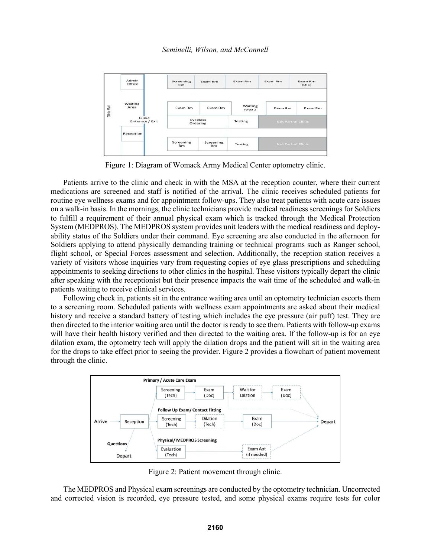

Figure 1: Diagram of Womack Army Medical Center optometry clinic.

Patients arrive to the clinic and check in with the MSA at the reception counter, where their current medications are screened and staff is notified of the arrival. The clinic receives scheduled patients for routine eye wellness exams and for appointment follow-ups. They also treat patients with acute care issues on a walk-in basis. In the mornings, the clinic technicians provide medical readiness screenings for Soldiers to fulfill a requirement of their annual physical exam which is tracked through the Medical Protection System (MEDPROS). The MEDPROS system provides unit leaders with the medical readiness and deployability status of the Soldiers under their command. Eye screening are also conducted in the afternoon for Soldiers applying to attend physically demanding training or technical programs such as Ranger school, flight school, or Special Forces assessment and selection. Additionally, the reception station receives a variety of visitors whose inquiries vary from requesting copies of eye glass prescriptions and scheduling appointments to seeking directions to other clinics in the hospital. These visitors typically depart the clinic after speaking with the receptionist but their presence impacts the wait time of the scheduled and walk-in patients waiting to receive clinical services.

Following check in, patients sit in the entrance waiting area until an optometry technician escorts them to a screening room. Scheduled patients with wellness exam appointments are asked about their medical history and receive a standard battery of testing which includes the eye pressure (air puff) test. They are then directed to the interior waiting area until the doctor is ready to see them. Patients with follow-up exams will have their health history verified and then directed to the waiting area. If the follow-up is for an eye dilation exam, the optometry tech will apply the dilation drops and the patient will sit in the waiting area for the drops to take effect prior to seeing the provider. Figure 2 provides a flowchart of patient movement through the clinic.



Figure 2: Patient movement through clinic.

The MEDPROS and Physical exam screenings are conducted by the optometry technician. Uncorrected and corrected vision is recorded, eye pressure tested, and some physical exams require tests for color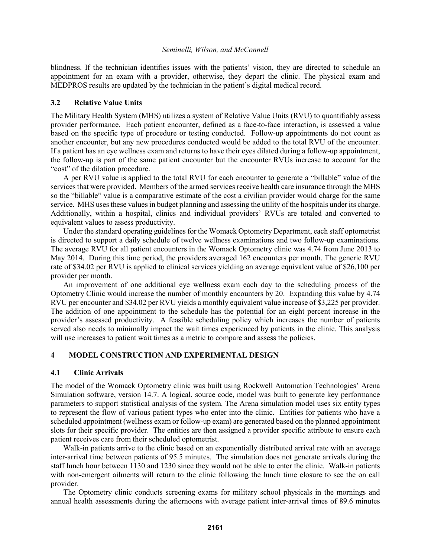blindness. If the technician identifies issues with the patients' vision, they are directed to schedule an appointment for an exam with a provider, otherwise, they depart the clinic. The physical exam and MEDPROS results are updated by the technician in the patient's digital medical record.

## **3.2 Relative Value Units**

The Military Health System (MHS) utilizes a system of Relative Value Units (RVU) to quantifiably assess provider performance. Each patient encounter, defined as a face-to-face interaction, is assessed a value based on the specific type of procedure or testing conducted. Follow-up appointments do not count as another encounter, but any new procedures conducted would be added to the total RVU of the encounter. If a patient has an eye wellness exam and returns to have their eyes dilated during a follow-up appointment, the follow-up is part of the same patient encounter but the encounter RVUs increase to account for the "cost" of the dilation procedure.

A per RVU value is applied to the total RVU for each encounter to generate a "billable" value of the services that were provided. Members of the armed services receive health care insurance through the MHS so the "billable" value is a comparative estimate of the cost a civilian provider would charge for the same service. MHS uses these values in budget planning and assessing the utility of the hospitals under its charge. Additionally, within a hospital, clinics and individual providers' RVUs are totaled and converted to equivalent values to assess productivity.

Under the standard operating guidelines for the Womack Optometry Department, each staff optometrist is directed to support a daily schedule of twelve wellness examinations and two follow-up examinations. The average RVU for all patient encounters in the Womack Optometry clinic was 4.74 from June 2013 to May 2014. During this time period, the providers averaged 162 encounters per month. The generic RVU rate of \$34.02 per RVU is applied to clinical services yielding an average equivalent value of \$26,100 per provider per month.

An improvement of one additional eye wellness exam each day to the scheduling process of the Optometry Clinic would increase the number of monthly encounters by 20. Expanding this value by 4.74 RVU per encounter and \$34.02 per RVU yields a monthly equivalent value increase of \$3,225 per provider. The addition of one appointment to the schedule has the potential for an eight percent increase in the provider's assessed productivity. A feasible scheduling policy which increases the number of patients served also needs to minimally impact the wait times experienced by patients in the clinic. This analysis will use increases to patient wait times as a metric to compare and assess the policies.

## **4 MODEL CONSTRUCTION AND EXPERIMENTAL DESIGN**

## **4.1 Clinic Arrivals**

The model of the Womack Optometry clinic was built using Rockwell Automation Technologies' Arena Simulation software, version 14.7. A logical, source code, model was built to generate key performance parameters to support statistical analysis of the system. The Arena simulation model uses six entity types to represent the flow of various patient types who enter into the clinic. Entities for patients who have a scheduled appointment (wellness exam or follow-up exam) are generated based on the planned appointment slots for their specific provider. The entities are then assigned a provider specific attribute to ensure each patient receives care from their scheduled optometrist.

Walk-in patients arrive to the clinic based on an exponentially distributed arrival rate with an average inter-arrival time between patients of 95.5 minutes. The simulation does not generate arrivals during the staff lunch hour between 1130 and 1230 since they would not be able to enter the clinic. Walk-in patients with non-emergent ailments will return to the clinic following the lunch time closure to see the on call provider.

The Optometry clinic conducts screening exams for military school physicals in the mornings and annual health assessments during the afternoons with average patient inter-arrival times of 89.6 minutes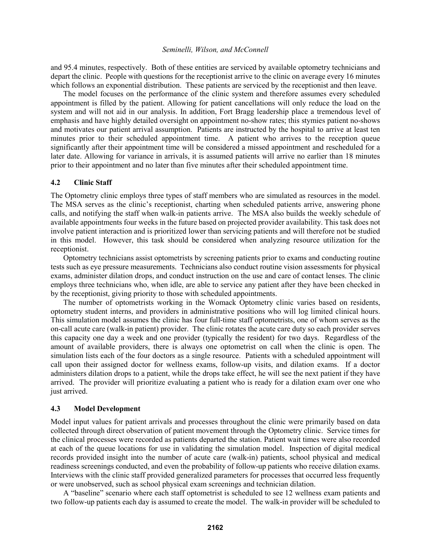and 95.4 minutes, respectively. Both of these entities are serviced by available optometry technicians and depart the clinic. People with questions for the receptionist arrive to the clinic on average every 16 minutes which follows an exponential distribution. These patients are serviced by the receptionist and then leave.

The model focuses on the performance of the clinic system and therefore assumes every scheduled appointment is filled by the patient. Allowing for patient cancellations will only reduce the load on the system and will not aid in our analysis. In addition, Fort Bragg leadership place a tremendous level of emphasis and have highly detailed oversight on appointment no-show rates; this stymies patient no-shows and motivates our patient arrival assumption. Patients are instructed by the hospital to arrive at least ten minutes prior to their scheduled appointment time. A patient who arrives to the reception queue significantly after their appointment time will be considered a missed appointment and rescheduled for a later date. Allowing for variance in arrivals, it is assumed patients will arrive no earlier than 18 minutes prior to their appointment and no later than five minutes after their scheduled appointment time.

## **4.2 Clinic Staff**

The Optometry clinic employs three types of staff members who are simulated as resources in the model. The MSA serves as the clinic's receptionist, charting when scheduled patients arrive, answering phone calls, and notifying the staff when walk-in patients arrive. The MSA also builds the weekly schedule of available appointments four weeks in the future based on projected provider availability. This task does not involve patient interaction and is prioritized lower than servicing patients and will therefore not be studied in this model. However, this task should be considered when analyzing resource utilization for the receptionist.

Optometry technicians assist optometrists by screening patients prior to exams and conducting routine tests such as eye pressure measurements. Technicians also conduct routine vision assessments for physical exams, administer dilation drops, and conduct instruction on the use and care of contact lenses. The clinic employs three technicians who, when idle, are able to service any patient after they have been checked in by the receptionist, giving priority to those with scheduled appointments.

The number of optometrists working in the Womack Optometry clinic varies based on residents, optometry student interns, and providers in administrative positions who will log limited clinical hours. This simulation model assumes the clinic has four full-time staff optometrists, one of whom serves as the on-call acute care (walk-in patient) provider. The clinic rotates the acute care duty so each provider serves this capacity one day a week and one provider (typically the resident) for two days. Regardless of the amount of available providers, there is always one optometrist on call when the clinic is open. The simulation lists each of the four doctors as a single resource. Patients with a scheduled appointment will call upon their assigned doctor for wellness exams, follow-up visits, and dilation exams. If a doctor administers dilation drops to a patient, while the drops take effect, he will see the next patient if they have arrived. The provider will prioritize evaluating a patient who is ready for a dilation exam over one who just arrived.

## **4.3 Model Development**

Model input values for patient arrivals and processes throughout the clinic were primarily based on data collected through direct observation of patient movement through the Optometry clinic. Service times for the clinical processes were recorded as patients departed the station. Patient wait times were also recorded at each of the queue locations for use in validating the simulation model. Inspection of digital medical records provided insight into the number of acute care (walk-in) patients, school physical and medical readiness screenings conducted, and even the probability of follow-up patients who receive dilation exams. Interviews with the clinic staff provided generalized parameters for processes that occurred less frequently or were unobserved, such as school physical exam screenings and technician dilation.

A "baseline" scenario where each staff optometrist is scheduled to see 12 wellness exam patients and two follow-up patients each day is assumed to create the model. The walk-in provider will be scheduled to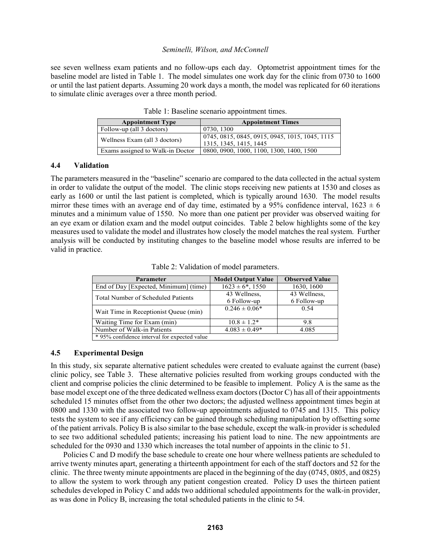see seven wellness exam patients and no follow-ups each day. Optometrist appointment times for the baseline model are listed in Table 1. The model simulates one work day for the clinic from 0730 to 1600 or until the last patient departs. Assuming 20 work days a month, the model was replicated for 60 iterations to simulate clinic averages over a three month period.

| <b>Appointment Type</b>                 | <b>Appointment Times</b>                                                 |  |  |
|-----------------------------------------|--------------------------------------------------------------------------|--|--|
| Follow-up (all 3 doctors)               | 0730, 1300                                                               |  |  |
| Wellness Exam (all 3 doctors)           | 0745, 0815, 0845, 0915, 0945, 1015, 1045, 1115<br>1315, 1345, 1415, 1445 |  |  |
| <b>Exams assigned to Walk-in Doctor</b> | 0800, 0900, 1000, 1100, 1300, 1400, 1500                                 |  |  |

Table 1: Baseline scenario appointment times.

#### **4.4 Validation**

The parameters measured in the "baseline" scenario are compared to the data collected in the actual system in order to validate the output of the model. The clinic stops receiving new patients at 1530 and closes as early as 1600 or until the last patient is completed, which is typically around 1630. The model results mirror these times with an average end of day time, estimated by a 95% confidence interval,  $1623 \pm 6$ minutes and a minimum value of 1550. No more than one patient per provider was observed waiting for an eye exam or dilation exam and the model output coincides. Table 2 below highlights some of the key measures used to validate the model and illustrates how closely the model matches the real system. Further analysis will be conducted by instituting changes to the baseline model whose results are inferred to be valid in practice.

| <b>Parameter</b>                             | <b>Model Output Value</b> | <b>Observed Value</b> |  |
|----------------------------------------------|---------------------------|-----------------------|--|
| End of Day [Expected, Minimum] (time)        | $1623 \pm 6^*$ , 1550     | 1630, 1600            |  |
| <b>Total Number of Scheduled Patients</b>    | 43 Wellness,              | 43 Wellness,          |  |
|                                              | 6 Follow-up               | 6 Follow-up           |  |
| Wait Time in Receptionist Queue (min)        | $0.246 \pm 0.06*$         | 0.54                  |  |
| Waiting Time for Exam (min)                  | $10.8 \pm 1.2^*$          | 9.8                   |  |
| Number of Walk-in Patients                   | $4.083 \pm 0.49*$         | 4.085                 |  |
| * 95% confidence interval for expected value |                           |                       |  |

Table 2: Validation of model parameters.

## **4.5 Experimental Design**

In this study, six separate alternative patient schedules were created to evaluate against the current (base) clinic policy, see Table 3. These alternative policies resulted from working groups conducted with the client and comprise policies the clinic determined to be feasible to implement. Policy A is the same as the base model except one of the three dedicated wellness exam doctors (Doctor C) has all of their appointments scheduled 15 minutes offset from the other two doctors; the adjusted wellness appointment times begin at 0800 and 1330 with the associated two follow-up appointments adjusted to 0745 and 1315. This policy tests the system to see if any efficiency can be gained through scheduling manipulation by offsetting some of the patient arrivals. Policy B is also similar to the base schedule, except the walk-in provider is scheduled to see two additional scheduled patients; increasing his patient load to nine. The new appointments are scheduled for the 0930 and 1330 which increases the total number of appoints in the clinic to 51.

Policies C and D modify the base schedule to create one hour where wellness patients are scheduled to arrive twenty minutes apart, generating a thirteenth appointment for each of the staff doctors and 52 for the clinic. The three twenty minute appointments are placed in the beginning of the day (0745, 0805, and 0825) to allow the system to work through any patient congestion created. Policy D uses the thirteen patient schedules developed in Policy C and adds two additional scheduled appointments for the walk-in provider, as was done in Policy B, increasing the total scheduled patients in the clinic to 54.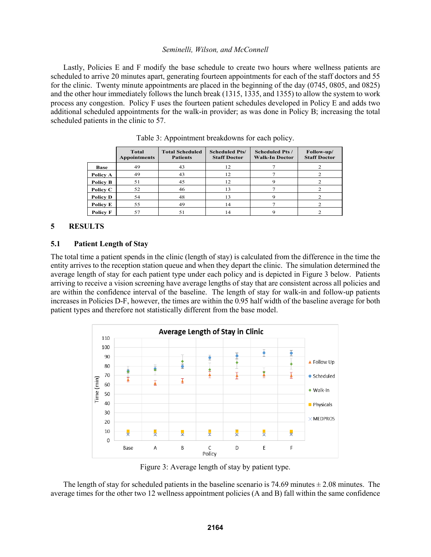Lastly, Policies E and F modify the base schedule to create two hours where wellness patients are scheduled to arrive 20 minutes apart, generating fourteen appointments for each of the staff doctors and 55 for the clinic. Twenty minute appointments are placed in the beginning of the day (0745, 0805, and 0825) and the other hour immediately follows the lunch break (1315, 1335, and 1355) to allow the system to work process any congestion. Policy F uses the fourteen patient schedules developed in Policy E and adds two additional scheduled appointments for the walk-in provider; as was done in Policy B; increasing the total scheduled patients in the clinic to 57.

|                 | <b>Total</b><br><b>Appointments</b> | <b>Total Scheduled</b><br><b>Patients</b> | <b>Scheduled Pts/</b><br><b>Staff Doctor</b> | <b>Scheduled Pts /</b><br><b>Walk-In Doctor</b> | Follow-up/<br><b>Staff Doctor</b> |
|-----------------|-------------------------------------|-------------------------------------------|----------------------------------------------|-------------------------------------------------|-----------------------------------|
| <b>Base</b>     | 49                                  | 43                                        | 12                                           |                                                 |                                   |
| Policy A        | 49                                  | 43                                        | 12                                           |                                                 |                                   |
| Policy B        | 51                                  | 45                                        | 12                                           |                                                 |                                   |
| Policy C        | 52                                  | 46                                        | 13                                           |                                                 |                                   |
| <b>Policy D</b> | 54                                  | 48                                        | 13                                           |                                                 |                                   |
| Policy E        | 55                                  | 49                                        | 14                                           |                                                 |                                   |
| <b>Policy F</b> | 57                                  | 51                                        | 14                                           |                                                 |                                   |

Table 3: Appointment breakdowns for each policy.

# **5 RESULTS**

# **5.1 Patient Length of Stay**

The total time a patient spends in the clinic (length of stay) is calculated from the difference in the time the entity arrives to the reception station queue and when they depart the clinic. The simulation determined the average length of stay for each patient type under each policy and is depicted in Figure 3 below. Patients arriving to receive a vision screening have average lengths of stay that are consistent across all policies and are within the confidence interval of the baseline. The length of stay for walk-in and follow-up patients increases in Policies D-F, however, the times are within the 0.95 half width of the baseline average for both patient types and therefore not statistically different from the base model.



Figure 3: Average length of stay by patient type.

The length of stay for scheduled patients in the baseline scenario is 74.69 minutes  $\pm$  2.08 minutes. The average times for the other two 12 wellness appointment policies (A and B) fall within the same confidence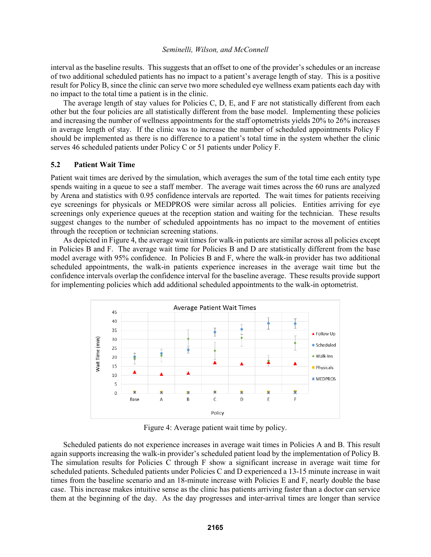interval as the baseline results. This suggests that an offset to one of the provider's schedules or an increase of two additional scheduled patients has no impact to a patient's average length of stay. This is a positive result for Policy B, since the clinic can serve two more scheduled eye wellness exam patients each day with no impact to the total time a patient is in the clinic.

The average length of stay values for Policies C, D, E, and F are not statistically different from each other but the four policies are all statistically different from the base model. Implementing these policies and increasing the number of wellness appointments for the staff optometrists yields 20% to 26% increases in average length of stay. If the clinic was to increase the number of scheduled appointments Policy F should be implemented as there is no difference to a patient's total time in the system whether the clinic serves 46 scheduled patients under Policy C or 51 patients under Policy F.

## **5.2 Patient Wait Time**

Patient wait times are derived by the simulation, which averages the sum of the total time each entity type spends waiting in a queue to see a staff member. The average wait times across the 60 runs are analyzed by Arena and statistics with 0.95 confidence intervals are reported. The wait times for patients receiving eye screenings for physicals or MEDPROS were similar across all policies. Entities arriving for eye screenings only experience queues at the reception station and waiting for the technician. These results suggest changes to the number of scheduled appointments has no impact to the movement of entities through the reception or technician screening stations.

As depicted in Figure 4, the average wait times for walk-in patients are similar across all policies except in Policies B and F. The average wait time for Policies B and D are statistically different from the base model average with 95% confidence. In Policies B and F, where the walk-in provider has two additional scheduled appointments, the walk-in patients experience increases in the average wait time but the confidence intervals overlap the confidence interval for the baseline average. These results provide support for implementing policies which add additional scheduled appointments to the walk-in optometrist.



Figure 4: Average patient wait time by policy.

Scheduled patients do not experience increases in average wait times in Policies A and B. This result again supports increasing the walk-in provider's scheduled patient load by the implementation of Policy B. The simulation results for Policies C through F show a significant increase in average wait time for scheduled patients. Scheduled patients under Policies C and D experienced a 13-15 minute increase in wait times from the baseline scenario and an 18-minute increase with Policies E and F, nearly double the base case. This increase makes intuitive sense as the clinic has patients arriving faster than a doctor can service them at the beginning of the day. As the day progresses and inter-arrival times are longer than service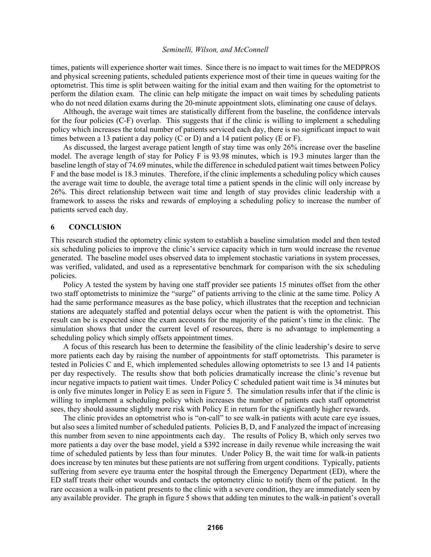times, patients will experience shorter wait times. Since there is no impact to wait times for the MEDPROS and physical screening patients, scheduled patients experience most of their time in queues waiting for the optometrist. This time is split between waiting for the initial exam and then waiting for the optometrist to perform the dilation exam. The clinic can help mitigate the impact on wait times by scheduling patients who do not need dilation exams during the 20-minute appointment slots, eliminating one cause of delays.

Although, the average wait times are statistically different from the baseline, the confidence intervals for the four policies (C-F) overlap. This suggests that if the clinic is willing to implement a scheduling policy which increases the total number of patients serviced each day, there is no significant impact to wait times between a 13 patient a day policy (C or D) and a 14 patient policy (E or F).

As discussed, the largest average patient length of stay time was only 26% increase over the baseline model. The average length of stay for Policy F is 93.98 minutes, which is 19.3 minutes larger than the baseline length of stay of 74.69 minutes, while the difference in scheduled patient wait times between Policy F and the base model is 18.3 minutes. Therefore, if the clinic implements a scheduling policy which causes the average wait time to double, the average total time a patient spends in the clinic will only increase by 26%. This direct relationship between wait time and length of stay provides clinic leadership with a framework to assess the risks and rewards of employing a scheduling policy to increase the number of patients served each day.

## **6 CONCLUSION**

This research studied the optometry clinic system to establish a baseline simulation model and then tested six scheduling policies to improve the clinic's service capacity which in turn would increase the revenue generated. The baseline model uses observed data to implement stochastic variations in system processes, was verified, validated, and used as a representative benchmark for comparison with the six scheduling policies.

Policy A tested the system by having one staff provider see patients 15 minutes offset from the other two staff optometrists to minimize the "surge" of patients arriving to the clinic at the same time. Policy A had the same performance measures as the base policy, which illustrates that the reception and technician stations are adequately staffed and potential delays occur when the patient is with the optometrist. This result can be is expected since the exam accounts for the majority of the patient's time in the clinic. The simulation shows that under the current level of resources, there is no advantage to implementing a scheduling policy which simply offsets appointment times.

A focus of this research has been to determine the feasibility of the clinic leadership's desire to serve more patients each day by raising the number of appointments for staff optometrists. This parameter is tested in Policies C and E, which implemented schedules allowing optometrists to see 13 and 14 patients per day respectively. The results show that both policies dramatically increase the clinic's revenue but incur negative impacts to patient wait times. Under Policy C scheduled patient wait time is 34 minutes but is only five minutes longer in Policy E as seen in Figure 5. The simulation results infer that if the clinic is willing to implement a scheduling policy which increases the number of patients each staff optometrist sees, they should assume slightly more risk with Policy E in return for the significantly higher rewards.

The clinic provides an optometrist who is "on-call" to see walk-in patients with acute care eye issues, but also sees a limited number of scheduled patients. Policies B, D, and F analyzed the impact of increasing this number from seven to nine appointments each day. The results of Policy B, which only serves two more patients a day over the base model, yield a \$392 increase in daily revenue while increasing the wait time of scheduled patients by less than four minutes. Under Policy B, the wait time for walk-in patients does increase by ten minutes but these patients are not suffering from urgent conditions. Typically, patients suffering from severe eye trauma enter the hospital through the Emergency Department (ED), where the ED staff treats their other wounds and contacts the optometry clinic to notify them of the patient. In the rare occasion a walk-in patient presents to the clinic with a severe condition, they are immediately seen by any available provider. The graph in figure 5 shows that adding ten minutes to the walk-in patient's overall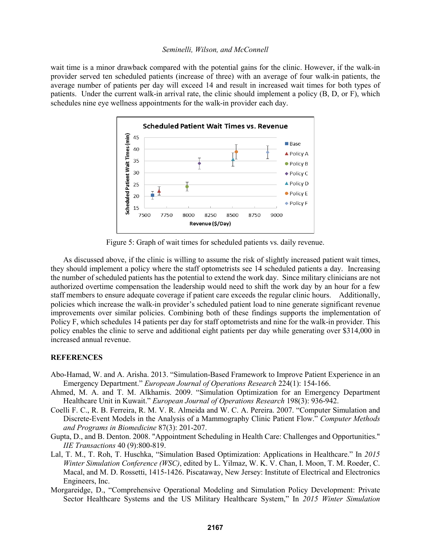wait time is a minor drawback compared with the potential gains for the clinic. However, if the walk-in provider served ten scheduled patients (increase of three) with an average of four walk-in patients, the average number of patients per day will exceed 14 and result in increased wait times for both types of patients. Under the current walk-in arrival rate, the clinic should implement a policy (B, D, or F), which schedules nine eye wellness appointments for the walk-in provider each day.



Figure 5: Graph of wait times for scheduled patients vs. daily revenue.

As discussed above, if the clinic is willing to assume the risk of slightly increased patient wait times, they should implement a policy where the staff optometrists see 14 scheduled patients a day. Increasing the number of scheduled patients has the potential to extend the work day. Since military clinicians are not authorized overtime compensation the leadership would need to shift the work day by an hour for a few staff members to ensure adequate coverage if patient care exceeds the regular clinic hours. Additionally, policies which increase the walk-in provider's scheduled patient load to nine generate significant revenue improvements over similar policies. Combining both of these findings supports the implementation of Policy F, which schedules 14 patients per day for staff optometrists and nine for the walk-in provider. This policy enables the clinic to serve and additional eight patients per day while generating over \$314,000 in increased annual revenue.

## **REFERENCES**

- Abo-Hamad, W. and A. Arisha. 2013. "Simulation-Based Framework to Improve Patient Experience in an Emergency Department." *European Journal of Operations Research* 224(1): 154-166.
- Ahmed, M. A. and T. M. Alkhamis. 2009. "Simulation Optimization for an Emergency Department Healthcare Unit in Kuwait." *European Journal of Operations Research* 198(3): 936-942.
- Coelli F. C., R. B. Ferreira, R. M. V. R. Almeida and W. C. A. Pereira. 2007. "Computer Simulation and Discrete-Event Models in the Analysis of a Mammography Clinic Patient Flow." *Computer Methods and Programs in Biomedicine* 87(3): 201-207.
- Gupta, D., and B. Denton. 2008. "Appointment Scheduling in Health Care: Challenges and Opportunities." *IIE Transactions* 40 (9):800-819.
- Lal, T. M., T. Roh, T. Huschka, "Simulation Based Optimization: Applications in Healthcare." In *2015 Winter Simulation Conference (WSC)*, edited by L. Yilmaz, W. K. V. Chan, I. Moon, T. M. Roeder, C. Macal, and M. D. Rossetti, 1415-1426. Piscataway, New Jersey: Institute of Electrical and Electronics Engineers, Inc.
- Morgareidge, D., "Comprehensive Operational Modeling and Simulation Policy Development: Private Sector Healthcare Systems and the US Military Healthcare System," In *2015 Winter Simulation*